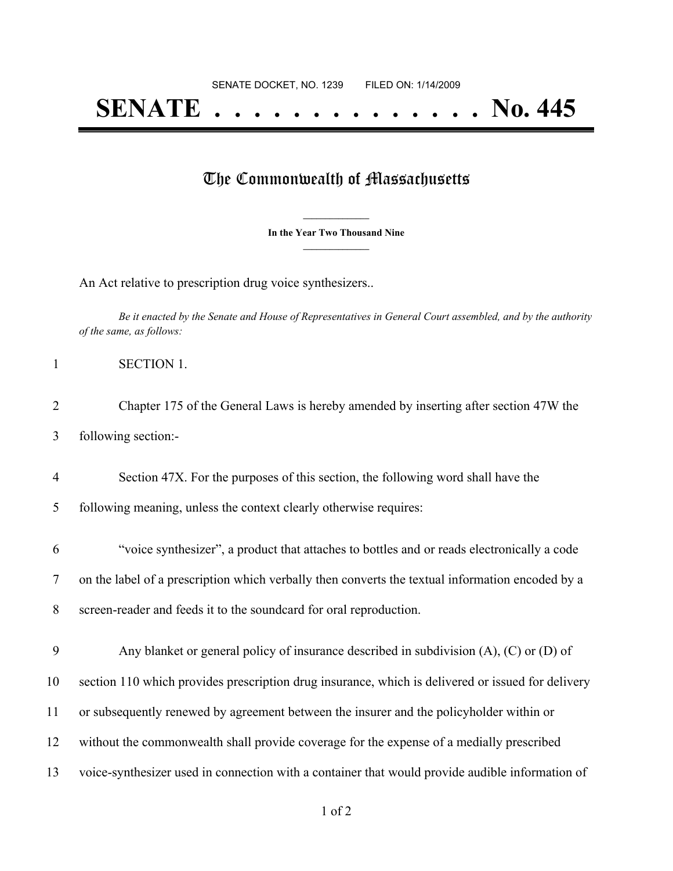## **SENATE . . . . . . . . . . . . . . No. 445**

## The Commonwealth of Massachusetts

**\_\_\_\_\_\_\_\_\_\_\_\_\_\_\_ In the Year Two Thousand Nine \_\_\_\_\_\_\_\_\_\_\_\_\_\_\_**

An Act relative to prescription drug voice synthesizers..

Be it enacted by the Senate and House of Representatives in General Court assembled, and by the authority *of the same, as follows:*

 Chapter 175 of the General Laws is hereby amended by inserting after section 47W the following section:-

Section 47X. For the purposes of this section, the following word shall have the

following meaning, unless the context clearly otherwise requires:

 "voice synthesizer", a product that attaches to bottles and or reads electronically a code on the label of a prescription which verbally then converts the textual information encoded by a screen-reader and feeds it to the soundcard for oral reproduction.

 Any blanket or general policy of insurance described in subdivision (A), (C) or (D) of section 110 which provides prescription drug insurance, which is delivered or issued for delivery or subsequently renewed by agreement between the insurer and the policyholder within or without the commonwealth shall provide coverage for the expense of a medially prescribed voice-synthesizer used in connection with a container that would provide audible information of